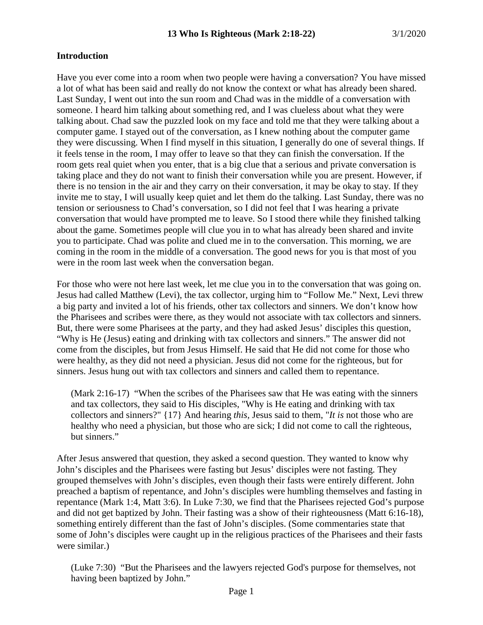# **Introduction**

Have you ever come into a room when two people were having a conversation? You have missed a lot of what has been said and really do not know the context or what has already been shared. Last Sunday, I went out into the sun room and Chad was in the middle of a conversation with someone. I heard him talking about something red, and I was clueless about what they were talking about. Chad saw the puzzled look on my face and told me that they were talking about a computer game. I stayed out of the conversation, as I knew nothing about the computer game they were discussing. When I find myself in this situation, I generally do one of several things. If it feels tense in the room, I may offer to leave so that they can finish the conversation. If the room gets real quiet when you enter, that is a big clue that a serious and private conversation is taking place and they do not want to finish their conversation while you are present. However, if there is no tension in the air and they carry on their conversation, it may be okay to stay. If they invite me to stay, I will usually keep quiet and let them do the talking. Last Sunday, there was no tension or seriousness to Chad's conversation, so I did not feel that I was hearing a private conversation that would have prompted me to leave. So I stood there while they finished talking about the game. Sometimes people will clue you in to what has already been shared and invite you to participate. Chad was polite and clued me in to the conversation. This morning, we are coming in the room in the middle of a conversation. The good news for you is that most of you were in the room last week when the conversation began.

For those who were not here last week, let me clue you in to the conversation that was going on. Jesus had called Matthew (Levi), the tax collector, urging him to "Follow Me." Next, Levi threw a big party and invited a lot of his friends, other tax collectors and sinners. We don't know how the Pharisees and scribes were there, as they would not associate with tax collectors and sinners. But, there were some Pharisees at the party, and they had asked Jesus' disciples this question, "Why is He (Jesus) eating and drinking with tax collectors and sinners." The answer did not come from the disciples, but from Jesus Himself. He said that He did not come for those who were healthy, as they did not need a physician. Jesus did not come for the righteous, but for sinners. Jesus hung out with tax collectors and sinners and called them to repentance.

(Mark 2:16-17) "When the scribes of the Pharisees saw that He was eating with the sinners and tax collectors, they said to His disciples, "Why is He eating and drinking with tax collectors and sinners?" {17} And hearing *this,* Jesus said to them, "*It is* not those who are healthy who need a physician, but those who are sick; I did not come to call the righteous, but sinners."

After Jesus answered that question, they asked a second question. They wanted to know why John's disciples and the Pharisees were fasting but Jesus' disciples were not fasting. They grouped themselves with John's disciples, even though their fasts were entirely different. John preached a baptism of repentance, and John's disciples were humbling themselves and fasting in repentance (Mark 1:4, Matt 3:6). In Luke 7:30, we find that the Pharisees rejected God's purpose and did not get baptized by John. Their fasting was a show of their righteousness (Matt 6:16-18), something entirely different than the fast of John's disciples. (Some commentaries state that some of John's disciples were caught up in the religious practices of the Pharisees and their fasts were similar.)

(Luke 7:30) "But the Pharisees and the lawyers rejected God's purpose for themselves, not having been baptized by John."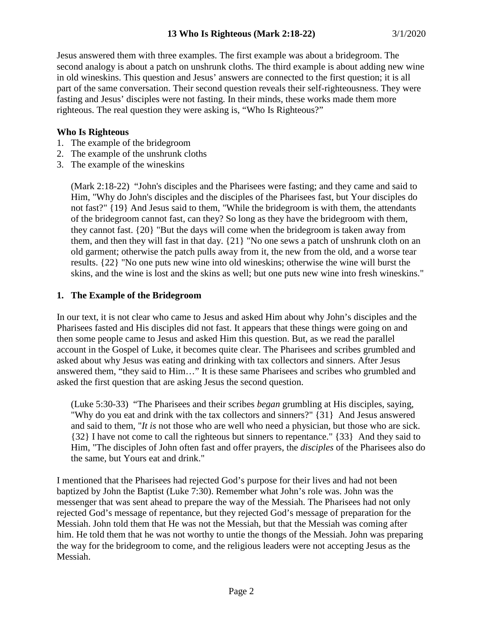Jesus answered them with three examples. The first example was about a bridegroom. The second analogy is about a patch on unshrunk cloths. The third example is about adding new wine in old wineskins. This question and Jesus' answers are connected to the first question; it is all part of the same conversation. Their second question reveals their self-righteousness. They were fasting and Jesus' disciples were not fasting. In their minds, these works made them more righteous. The real question they were asking is, "Who Is Righteous?"

# **Who Is Righteous**

- 1. The example of the bridegroom
- 2. The example of the unshrunk cloths
- 3. The example of the wineskins

(Mark 2:18-22) "John's disciples and the Pharisees were fasting; and they came and said to Him, "Why do John's disciples and the disciples of the Pharisees fast, but Your disciples do not fast?" {19} And Jesus said to them, "While the bridegroom is with them, the attendants of the bridegroom cannot fast, can they? So long as they have the bridegroom with them, they cannot fast. {20} "But the days will come when the bridegroom is taken away from them, and then they will fast in that day. {21} "No one sews a patch of unshrunk cloth on an old garment; otherwise the patch pulls away from it, the new from the old, and a worse tear results. {22} "No one puts new wine into old wineskins; otherwise the wine will burst the skins, and the wine is lost and the skins as well; but one puts new wine into fresh wineskins."

# **1. The Example of the Bridegroom**

In our text, it is not clear who came to Jesus and asked Him about why John's disciples and the Pharisees fasted and His disciples did not fast. It appears that these things were going on and then some people came to Jesus and asked Him this question. But, as we read the parallel account in the Gospel of Luke, it becomes quite clear. The Pharisees and scribes grumbled and asked about why Jesus was eating and drinking with tax collectors and sinners. After Jesus answered them, "they said to Him…" It is these same Pharisees and scribes who grumbled and asked the first question that are asking Jesus the second question.

(Luke 5:30-33) "The Pharisees and their scribes *began* grumbling at His disciples, saying, "Why do you eat and drink with the tax collectors and sinners?" {31} And Jesus answered and said to them, "*It is* not those who are well who need a physician, but those who are sick. {32} I have not come to call the righteous but sinners to repentance." {33} And they said to Him, "The disciples of John often fast and offer prayers, the *disciples* of the Pharisees also do the same, but Yours eat and drink."

I mentioned that the Pharisees had rejected God's purpose for their lives and had not been baptized by John the Baptist (Luke 7:30). Remember what John's role was. John was the messenger that was sent ahead to prepare the way of the Messiah. The Pharisees had not only rejected God's message of repentance, but they rejected God's message of preparation for the Messiah. John told them that He was not the Messiah, but that the Messiah was coming after him. He told them that he was not worthy to untie the thongs of the Messiah. John was preparing the way for the bridegroom to come, and the religious leaders were not accepting Jesus as the Messiah.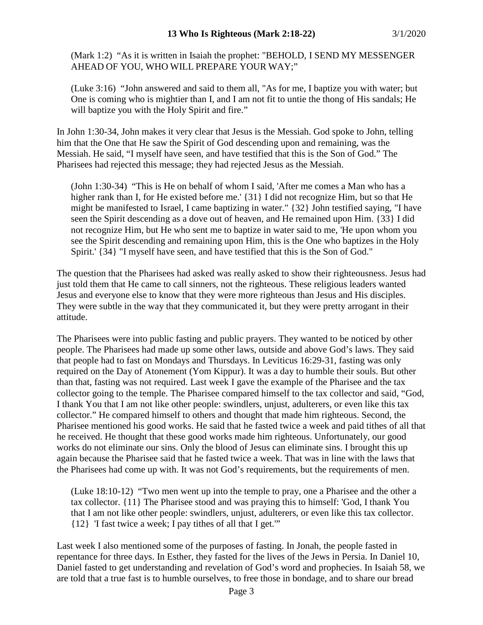(Mark 1:2) "As it is written in Isaiah the prophet: "BEHOLD, I SEND MY MESSENGER AHEAD OF YOU, WHO WILL PREPARE YOUR WAY;"

(Luke 3:16) "John answered and said to them all, "As for me, I baptize you with water; but One is coming who is mightier than I, and I am not fit to untie the thong of His sandals; He will baptize you with the Holy Spirit and fire."

In John 1:30-34, John makes it very clear that Jesus is the Messiah. God spoke to John, telling him that the One that He saw the Spirit of God descending upon and remaining, was the Messiah. He said, "I myself have seen, and have testified that this is the Son of God." The Pharisees had rejected this message; they had rejected Jesus as the Messiah.

(John 1:30-34) "This is He on behalf of whom I said, 'After me comes a Man who has a higher rank than I, for He existed before me.' {31} I did not recognize Him, but so that He might be manifested to Israel, I came baptizing in water." {32} John testified saying, "I have seen the Spirit descending as a dove out of heaven, and He remained upon Him. {33} I did not recognize Him, but He who sent me to baptize in water said to me, 'He upon whom you see the Spirit descending and remaining upon Him, this is the One who baptizes in the Holy Spirit.' {34} "I myself have seen, and have testified that this is the Son of God."

The question that the Pharisees had asked was really asked to show their righteousness. Jesus had just told them that He came to call sinners, not the righteous. These religious leaders wanted Jesus and everyone else to know that they were more righteous than Jesus and His disciples. They were subtle in the way that they communicated it, but they were pretty arrogant in their attitude.

The Pharisees were into public fasting and public prayers. They wanted to be noticed by other people. The Pharisees had made up some other laws, outside and above God's laws. They said that people had to fast on Mondays and Thursdays. In Leviticus 16:29-31, fasting was only required on the Day of Atonement (Yom Kippur). It was a day to humble their souls. But other than that, fasting was not required. Last week I gave the example of the Pharisee and the tax collector going to the temple. The Pharisee compared himself to the tax collector and said, "God, I thank You that I am not like other people: swindlers, unjust, adulterers, or even like this tax collector." He compared himself to others and thought that made him righteous. Second, the Pharisee mentioned his good works. He said that he fasted twice a week and paid tithes of all that he received. He thought that these good works made him righteous. Unfortunately, our good works do not eliminate our sins. Only the blood of Jesus can eliminate sins. I brought this up again because the Pharisee said that he fasted twice a week. That was in line with the laws that the Pharisees had come up with. It was not God's requirements, but the requirements of men.

(Luke 18:10-12) "Two men went up into the temple to pray, one a Pharisee and the other a tax collector. {11} The Pharisee stood and was praying this to himself: 'God, I thank You that I am not like other people: swindlers, unjust, adulterers, or even like this tax collector. {12} 'I fast twice a week; I pay tithes of all that I get.'"

Last week I also mentioned some of the purposes of fasting. In Jonah, the people fasted in repentance for three days. In Esther, they fasted for the lives of the Jews in Persia. In Daniel 10, Daniel fasted to get understanding and revelation of God's word and prophecies. In Isaiah 58, we are told that a true fast is to humble ourselves, to free those in bondage, and to share our bread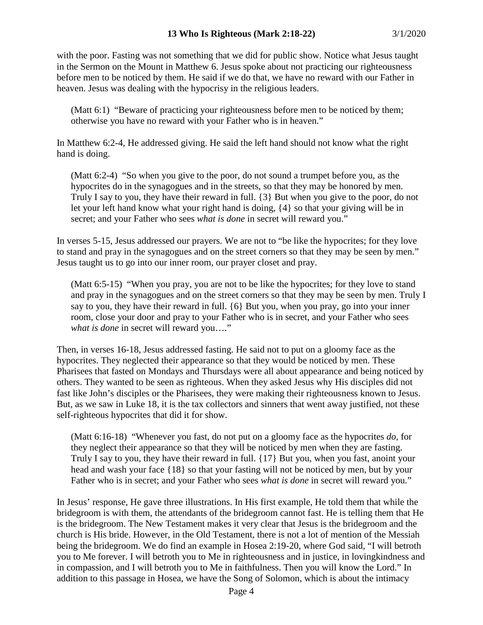with the poor. Fasting was not something that we did for public show. Notice what Jesus taught in the Sermon on the Mount in Matthew 6. Jesus spoke about not practicing our righteousness before men to be noticed by them. He said if we do that, we have no reward with our Father in heaven. Jesus was dealing with the hypocrisy in the religious leaders.

(Matt 6:1) "Beware of practicing your righteousness before men to be noticed by them; otherwise you have no reward with your Father who is in heaven."

In Matthew 6:2-4, He addressed giving. He said the left hand should not know what the right hand is doing.

(Matt 6:2-4) "So when you give to the poor, do not sound a trumpet before you, as the hypocrites do in the synagogues and in the streets, so that they may be honored by men. Truly I say to you, they have their reward in full. {3} But when you give to the poor, do not let your left hand know what your right hand is doing, {4} so that your giving will be in secret; and your Father who sees *what is done* in secret will reward you."

In verses 5-15, Jesus addressed our prayers. We are not to "be like the hypocrites; for they love to stand and pray in the synagogues and on the street corners so that they may be seen by men." Jesus taught us to go into our inner room, our prayer closet and pray.

(Matt 6:5-15) "When you pray, you are not to be like the hypocrites; for they love to stand and pray in the synagogues and on the street corners so that they may be seen by men. Truly I say to you, they have their reward in full. {6} But you, when you pray, go into your inner room, close your door and pray to your Father who is in secret, and your Father who sees *what is done* in secret will reward you…."

Then, in verses 16-18, Jesus addressed fasting. He said not to put on a gloomy face as the hypocrites. They neglected their appearance so that they would be noticed by men. These Pharisees that fasted on Mondays and Thursdays were all about appearance and being noticed by others. They wanted to be seen as righteous. When they asked Jesus why His disciples did not fast like John's disciples or the Pharisees, they were making their righteousness known to Jesus. But, as we saw in Luke 18, it is the tax collectors and sinners that went away justified, not these self-righteous hypocrites that did it for show.

(Matt 6:16-18) "Whenever you fast, do not put on a gloomy face as the hypocrites *do,* for they neglect their appearance so that they will be noticed by men when they are fasting. Truly I say to you, they have their reward in full. {17} But you, when you fast, anoint your head and wash your face {18} so that your fasting will not be noticed by men, but by your Father who is in secret; and your Father who sees *what is done* in secret will reward you."

In Jesus' response, He gave three illustrations. In His first example, He told them that while the bridegroom is with them, the attendants of the bridegroom cannot fast. He is telling them that He is the bridegroom. The New Testament makes it very clear that Jesus is the bridegroom and the church is His bride. However, in the Old Testament, there is not a lot of mention of the Messiah being the bridegroom. We do find an example in Hosea 2:19-20, where God said, "I will betroth you to Me forever. I will betroth you to Me in righteousness and in justice, in lovingkindness and in compassion, and I will betroth you to Me in faithfulness. Then you will know the Lord." In addition to this passage in Hosea, we have the Song of Solomon, which is about the intimacy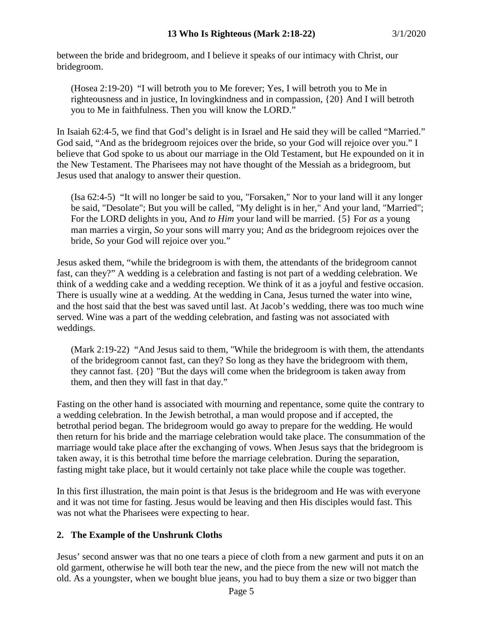between the bride and bridegroom, and I believe it speaks of our intimacy with Christ, our bridegroom.

(Hosea 2:19-20) "I will betroth you to Me forever; Yes, I will betroth you to Me in righteousness and in justice, In lovingkindness and in compassion, {20} And I will betroth you to Me in faithfulness. Then you will know the LORD."

In Isaiah 62:4-5, we find that God's delight is in Israel and He said they will be called "Married." God said, "And as the bridegroom rejoices over the bride, so your God will rejoice over you." I believe that God spoke to us about our marriage in the Old Testament, but He expounded on it in the New Testament. The Pharisees may not have thought of the Messiah as a bridegroom, but Jesus used that analogy to answer their question.

(Isa 62:4-5) "It will no longer be said to you, "Forsaken," Nor to your land will it any longer be said, "Desolate"; But you will be called, "My delight is in her," And your land, "Married"; For the LORD delights in you, And *to Him* your land will be married. {5} For *as* a young man marries a virgin, *So* your sons will marry you; And *as* the bridegroom rejoices over the bride, *So* your God will rejoice over you."

Jesus asked them, "while the bridegroom is with them, the attendants of the bridegroom cannot fast, can they?" A wedding is a celebration and fasting is not part of a wedding celebration. We think of a wedding cake and a wedding reception. We think of it as a joyful and festive occasion. There is usually wine at a wedding. At the wedding in Cana, Jesus turned the water into wine, and the host said that the best was saved until last. At Jacob's wedding, there was too much wine served. Wine was a part of the wedding celebration, and fasting was not associated with weddings.

(Mark 2:19-22) "And Jesus said to them, "While the bridegroom is with them, the attendants of the bridegroom cannot fast, can they? So long as they have the bridegroom with them, they cannot fast. {20} "But the days will come when the bridegroom is taken away from them, and then they will fast in that day."

Fasting on the other hand is associated with mourning and repentance, some quite the contrary to a wedding celebration. In the Jewish betrothal, a man would propose and if accepted, the betrothal period began. The bridegroom would go away to prepare for the wedding. He would then return for his bride and the marriage celebration would take place. The consummation of the marriage would take place after the exchanging of vows. When Jesus says that the bridegroom is taken away, it is this betrothal time before the marriage celebration. During the separation, fasting might take place, but it would certainly not take place while the couple was together.

In this first illustration, the main point is that Jesus is the bridegroom and He was with everyone and it was not time for fasting. Jesus would be leaving and then His disciples would fast. This was not what the Pharisees were expecting to hear.

# **2. The Example of the Unshrunk Cloths**

Jesus' second answer was that no one tears a piece of cloth from a new garment and puts it on an old garment, otherwise he will both tear the new, and the piece from the new will not match the old. As a youngster, when we bought blue jeans, you had to buy them a size or two bigger than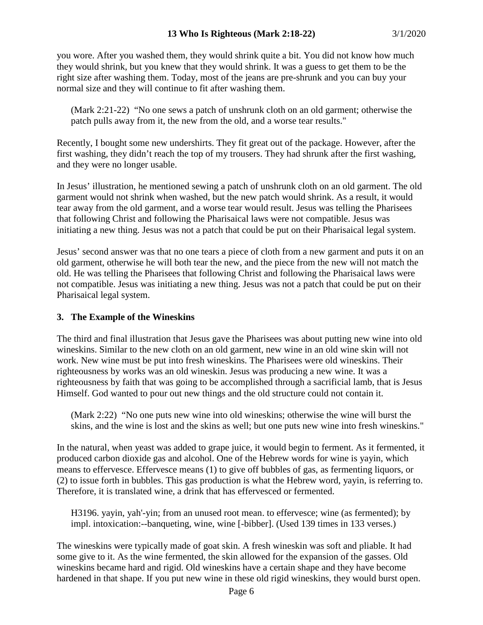you wore. After you washed them, they would shrink quite a bit. You did not know how much they would shrink, but you knew that they would shrink. It was a guess to get them to be the right size after washing them. Today, most of the jeans are pre-shrunk and you can buy your normal size and they will continue to fit after washing them.

(Mark 2:21-22) "No one sews a patch of unshrunk cloth on an old garment; otherwise the patch pulls away from it, the new from the old, and a worse tear results."

Recently, I bought some new undershirts. They fit great out of the package. However, after the first washing, they didn't reach the top of my trousers. They had shrunk after the first washing, and they were no longer usable.

In Jesus' illustration, he mentioned sewing a patch of unshrunk cloth on an old garment. The old garment would not shrink when washed, but the new patch would shrink. As a result, it would tear away from the old garment, and a worse tear would result. Jesus was telling the Pharisees that following Christ and following the Pharisaical laws were not compatible. Jesus was initiating a new thing. Jesus was not a patch that could be put on their Pharisaical legal system.

Jesus' second answer was that no one tears a piece of cloth from a new garment and puts it on an old garment, otherwise he will both tear the new, and the piece from the new will not match the old. He was telling the Pharisees that following Christ and following the Pharisaical laws were not compatible. Jesus was initiating a new thing. Jesus was not a patch that could be put on their Pharisaical legal system.

#### **3. The Example of the Wineskins**

The third and final illustration that Jesus gave the Pharisees was about putting new wine into old wineskins. Similar to the new cloth on an old garment, new wine in an old wine skin will not work. New wine must be put into fresh wineskins. The Pharisees were old wineskins. Their righteousness by works was an old wineskin. Jesus was producing a new wine. It was a righteousness by faith that was going to be accomplished through a sacrificial lamb, that is Jesus Himself. God wanted to pour out new things and the old structure could not contain it.

(Mark 2:22) "No one puts new wine into old wineskins; otherwise the wine will burst the skins, and the wine is lost and the skins as well; but one puts new wine into fresh wineskins."

In the natural, when yeast was added to grape juice, it would begin to ferment. As it fermented, it produced carbon dioxide gas and alcohol. One of the Hebrew words for wine is yayin, which means to effervesce. Effervesce means (1) to give off bubbles of gas, as fermenting liquors, or (2) to issue forth in bubbles. This gas production is what the Hebrew word, yayin, is referring to. Therefore, it is translated wine, a drink that has effervesced or fermented.

H3196. yayin, yah'-yin; from an unused root mean. to effervesce; wine (as fermented); by impl. intoxication:--banqueting, wine, wine [-bibber]. (Used 139 times in 133 verses.)

The wineskins were typically made of goat skin. A fresh wineskin was soft and pliable. It had some give to it. As the wine fermented, the skin allowed for the expansion of the gasses. Old wineskins became hard and rigid. Old wineskins have a certain shape and they have become hardened in that shape. If you put new wine in these old rigid wineskins, they would burst open.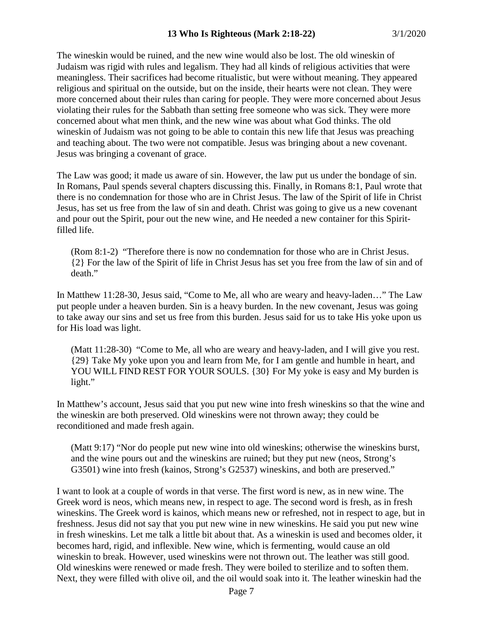The wineskin would be ruined, and the new wine would also be lost. The old wineskin of Judaism was rigid with rules and legalism. They had all kinds of religious activities that were meaningless. Their sacrifices had become ritualistic, but were without meaning. They appeared religious and spiritual on the outside, but on the inside, their hearts were not clean. They were more concerned about their rules than caring for people. They were more concerned about Jesus violating their rules for the Sabbath than setting free someone who was sick. They were more concerned about what men think, and the new wine was about what God thinks. The old wineskin of Judaism was not going to be able to contain this new life that Jesus was preaching and teaching about. The two were not compatible. Jesus was bringing about a new covenant. Jesus was bringing a covenant of grace.

The Law was good; it made us aware of sin. However, the law put us under the bondage of sin. In Romans, Paul spends several chapters discussing this. Finally, in Romans 8:1, Paul wrote that there is no condemnation for those who are in Christ Jesus. The law of the Spirit of life in Christ Jesus, has set us free from the law of sin and death. Christ was going to give us a new covenant and pour out the Spirit, pour out the new wine, and He needed a new container for this Spiritfilled life.

(Rom 8:1-2) "Therefore there is now no condemnation for those who are in Christ Jesus. {2} For the law of the Spirit of life in Christ Jesus has set you free from the law of sin and of death."

In Matthew 11:28-30, Jesus said, "Come to Me, all who are weary and heavy-laden…" The Law put people under a heaven burden. Sin is a heavy burden. In the new covenant, Jesus was going to take away our sins and set us free from this burden. Jesus said for us to take His yoke upon us for His load was light.

(Matt 11:28-30) "Come to Me, all who are weary and heavy-laden, and I will give you rest. {29} Take My yoke upon you and learn from Me, for I am gentle and humble in heart, and YOU WILL FIND REST FOR YOUR SOULS. {30} For My yoke is easy and My burden is light."

In Matthew's account, Jesus said that you put new wine into fresh wineskins so that the wine and the wineskin are both preserved. Old wineskins were not thrown away; they could be reconditioned and made fresh again.

(Matt 9:17) "Nor do people put new wine into old wineskins; otherwise the wineskins burst, and the wine pours out and the wineskins are ruined; but they put new (neos, Strong's G3501) wine into fresh (kainos, Strong's G2537) wineskins, and both are preserved."

I want to look at a couple of words in that verse. The first word is new, as in new wine. The Greek word is neos, which means new, in respect to age. The second word is fresh, as in fresh wineskins. The Greek word is kainos, which means new or refreshed, not in respect to age, but in freshness. Jesus did not say that you put new wine in new wineskins. He said you put new wine in fresh wineskins. Let me talk a little bit about that. As a wineskin is used and becomes older, it becomes hard, rigid, and inflexible. New wine, which is fermenting, would cause an old wineskin to break. However, used wineskins were not thrown out. The leather was still good. Old wineskins were renewed or made fresh. They were boiled to sterilize and to soften them. Next, they were filled with olive oil, and the oil would soak into it. The leather wineskin had the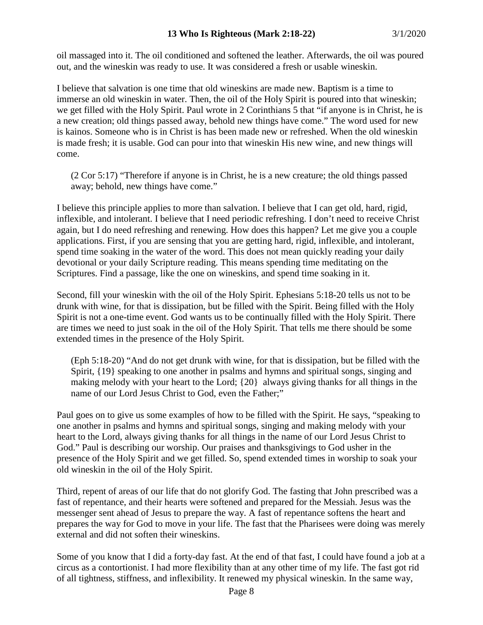oil massaged into it. The oil conditioned and softened the leather. Afterwards, the oil was poured out, and the wineskin was ready to use. It was considered a fresh or usable wineskin.

I believe that salvation is one time that old wineskins are made new. Baptism is a time to immerse an old wineskin in water. Then, the oil of the Holy Spirit is poured into that wineskin; we get filled with the Holy Spirit. Paul wrote in 2 Corinthians 5 that "if anyone is in Christ, he is a new creation; old things passed away, behold new things have come." The word used for new is kainos. Someone who is in Christ is has been made new or refreshed. When the old wineskin is made fresh; it is usable. God can pour into that wineskin His new wine, and new things will come.

(2 Cor 5:17) "Therefore if anyone is in Christ, he is a new creature; the old things passed away; behold, new things have come."

I believe this principle applies to more than salvation. I believe that I can get old, hard, rigid, inflexible, and intolerant. I believe that I need periodic refreshing. I don't need to receive Christ again, but I do need refreshing and renewing. How does this happen? Let me give you a couple applications. First, if you are sensing that you are getting hard, rigid, inflexible, and intolerant, spend time soaking in the water of the word. This does not mean quickly reading your daily devotional or your daily Scripture reading. This means spending time meditating on the Scriptures. Find a passage, like the one on wineskins, and spend time soaking in it.

Second, fill your wineskin with the oil of the Holy Spirit. Ephesians 5:18-20 tells us not to be drunk with wine, for that is dissipation, but be filled with the Spirit. Being filled with the Holy Spirit is not a one-time event. God wants us to be continually filled with the Holy Spirit. There are times we need to just soak in the oil of the Holy Spirit. That tells me there should be some extended times in the presence of the Holy Spirit.

(Eph 5:18-20) "And do not get drunk with wine, for that is dissipation, but be filled with the Spirit, {19} speaking to one another in psalms and hymns and spiritual songs, singing and making melody with your heart to the Lord; {20} always giving thanks for all things in the name of our Lord Jesus Christ to God, even the Father;"

Paul goes on to give us some examples of how to be filled with the Spirit. He says, "speaking to one another in psalms and hymns and spiritual songs, singing and making melody with your heart to the Lord, always giving thanks for all things in the name of our Lord Jesus Christ to God." Paul is describing our worship. Our praises and thanksgivings to God usher in the presence of the Holy Spirit and we get filled. So, spend extended times in worship to soak your old wineskin in the oil of the Holy Spirit.

Third, repent of areas of our life that do not glorify God. The fasting that John prescribed was a fast of repentance, and their hearts were softened and prepared for the Messiah. Jesus was the messenger sent ahead of Jesus to prepare the way. A fast of repentance softens the heart and prepares the way for God to move in your life. The fast that the Pharisees were doing was merely external and did not soften their wineskins.

Some of you know that I did a forty-day fast. At the end of that fast, I could have found a job at a circus as a contortionist. I had more flexibility than at any other time of my life. The fast got rid of all tightness, stiffness, and inflexibility. It renewed my physical wineskin. In the same way,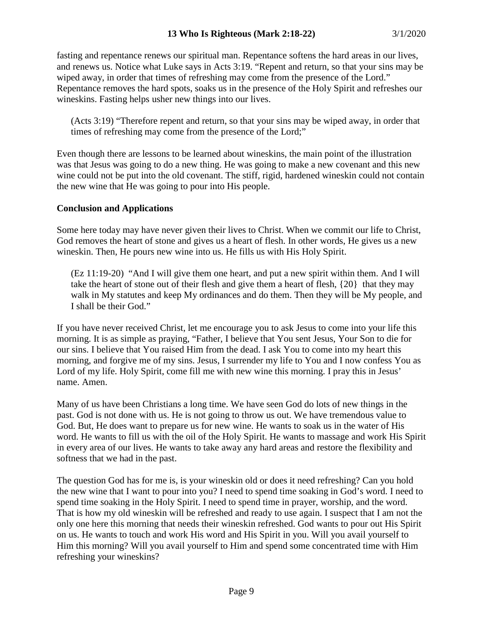fasting and repentance renews our spiritual man. Repentance softens the hard areas in our lives, and renews us. Notice what Luke says in Acts 3:19. "Repent and return, so that your sins may be wiped away, in order that times of refreshing may come from the presence of the Lord." Repentance removes the hard spots, soaks us in the presence of the Holy Spirit and refreshes our wineskins. Fasting helps usher new things into our lives.

(Acts 3:19) "Therefore repent and return, so that your sins may be wiped away, in order that times of refreshing may come from the presence of the Lord;"

Even though there are lessons to be learned about wineskins, the main point of the illustration was that Jesus was going to do a new thing. He was going to make a new covenant and this new wine could not be put into the old covenant. The stiff, rigid, hardened wineskin could not contain the new wine that He was going to pour into His people.

# **Conclusion and Applications**

Some here today may have never given their lives to Christ. When we commit our life to Christ, God removes the heart of stone and gives us a heart of flesh. In other words, He gives us a new wineskin. Then, He pours new wine into us. He fills us with His Holy Spirit.

(Ez 11:19-20) "And I will give them one heart, and put a new spirit within them. And I will take the heart of stone out of their flesh and give them a heart of flesh, {20} that they may walk in My statutes and keep My ordinances and do them. Then they will be My people, and I shall be their God."

If you have never received Christ, let me encourage you to ask Jesus to come into your life this morning. It is as simple as praying, "Father, I believe that You sent Jesus, Your Son to die for our sins. I believe that You raised Him from the dead. I ask You to come into my heart this morning, and forgive me of my sins. Jesus, I surrender my life to You and I now confess You as Lord of my life. Holy Spirit, come fill me with new wine this morning. I pray this in Jesus' name. Amen.

Many of us have been Christians a long time. We have seen God do lots of new things in the past. God is not done with us. He is not going to throw us out. We have tremendous value to God. But, He does want to prepare us for new wine. He wants to soak us in the water of His word. He wants to fill us with the oil of the Holy Spirit. He wants to massage and work His Spirit in every area of our lives. He wants to take away any hard areas and restore the flexibility and softness that we had in the past.

The question God has for me is, is your wineskin old or does it need refreshing? Can you hold the new wine that I want to pour into you? I need to spend time soaking in God's word. I need to spend time soaking in the Holy Spirit. I need to spend time in prayer, worship, and the word. That is how my old wineskin will be refreshed and ready to use again. I suspect that I am not the only one here this morning that needs their wineskin refreshed. God wants to pour out His Spirit on us. He wants to touch and work His word and His Spirit in you. Will you avail yourself to Him this morning? Will you avail yourself to Him and spend some concentrated time with Him refreshing your wineskins?